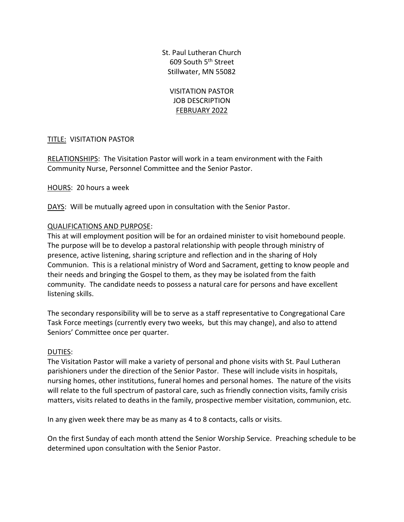St. Paul Lutheran Church 609 South 5th Street Stillwater, MN 55082

VISITATION PASTOR JOB DESCRIPTION FEBRUARY 2022

# TITLE: VISITATION PASTOR

RELATIONSHIPS: The Visitation Pastor will work in a team environment with the Faith Community Nurse, Personnel Committee and the Senior Pastor.

HOURS: 20 hours a week

DAYS: Will be mutually agreed upon in consultation with the Senior Pastor.

## QUALIFICATIONS AND PURPOSE:

This at will employment position will be for an ordained minister to visit homebound people. The purpose will be to develop a pastoral relationship with people through ministry of presence, active listening, sharing scripture and reflection and in the sharing of Holy Communion. This is a relational ministry of Word and Sacrament, getting to know people and their needs and bringing the Gospel to them, as they may be isolated from the faith community. The candidate needs to possess a natural care for persons and have excellent listening skills.

The secondary responsibility will be to serve as a staff representative to Congregational Care Task Force meetings (currently every two weeks, but this may change), and also to attend Seniors' Committee once per quarter.

## DUTIES:

The Visitation Pastor will make a variety of personal and phone visits with St. Paul Lutheran parishioners under the direction of the Senior Pastor. These will include visits in hospitals, nursing homes, other institutions, funeral homes and personal homes. The nature of the visits will relate to the full spectrum of pastoral care, such as friendly connection visits, family crisis matters, visits related to deaths in the family, prospective member visitation, communion, etc.

In any given week there may be as many as 4 to 8 contacts, calls or visits.

On the first Sunday of each month attend the Senior Worship Service. Preaching schedule to be determined upon consultation with the Senior Pastor.